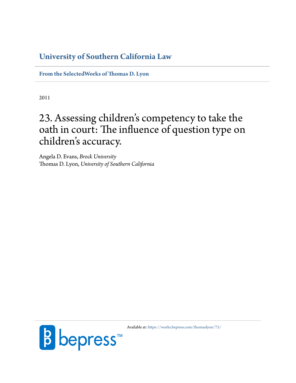## **[University of Southern California Law](http://gould.usc.edu/)**

**[From the SelectedWorks of Thomas D. Lyon](https://works.bepress.com/thomaslyon/)**

2011

# 23. Assessing children ' s competency to take the oath in court: The influence of question type on children ' s accuracy.

Angela D. Evans, *Brock University* Thomas D. Lyon, *University of Southern California*



Available at: <https://works.bepress.com/thomaslyon/75/>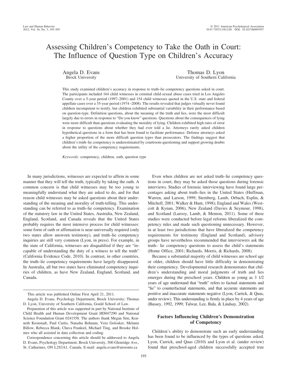### Assessing Children's Competency to Take the Oath in Court: The Influence of Question Type on Children's Accuracy

Angela D. Evans Brock University

Thomas D. Lyon University of Southern California

This study examined children's accuracy in response to truth–lie competency questions asked in court. The participants included 164 child witnesses in criminal child sexual abuse cases tried in Los Angeles County over a 5-year period (1997–2001) and 154 child witnesses quoted in the U.S. state and federal appellate cases over a 35-year period (1974 –2008). The results revealed that judges virtually never found children incompetent to testify, but children exhibited substantial variability in their performance based on question-type. Definition questions, about the meaning of the truth and lies, were the most difficult largely due to errors in response to "Do you know" questions. Questions about the consequences of lying were more difficult than questions evaluating the morality of lying. Children exhibited high rates of error in response to questions about whether they had ever told a lie. Attorneys rarely asked children hypothetical questions in a form that has been found to facilitate performance. Defense attorneys asked a higher proportion of the more difficult question types than prosecutors. The findings suggest that children's truth–lie competency is underestimated by courtroom questioning and support growing doubts about the utility of the competency requirements.

*Keywords:* competency, children, oath, question type

In many jurisdictions, witnesses are expected to affirm in some manner that they will tell the truth, typically by taking the oath. A common concern is that child witnesses may be too young to meaningfully understand what they are asked to do, and for that reason child witnesses may be asked questions about their understanding of the meaning and morality of truth-telling. This understanding can be referred to as truth–lie competency. Examination of the statutory law in the United States, Australia, New Zealand, England, Scotland, and Canada reveals that the United States probably requires the most intensive process for child witnesses: some form of oath or affirmation is near-universally required (only two states allow unsworn testimony), and truth–lie competency inquiries are still very common (Lyon, in press). For example, in the state of California, witnesses are disqualified if they are "incapable of understanding the duty of a witness to tell the truth" (California Evidence Code, 2010). In contrast, in other countries, the truth–lie competency requirements have largely disappeared. In Australia, all but two states have eliminated competency inquiries of children, as have New Zealand, England, Scotland, and Canada.

Even when children are not asked truth–lie competency questions in court, they may be asked those questions during forensic interviews. Studies of forensic interviewing have found large percentages asking about truth–lies in the United States (Huffman, Warren, and Larson, 1999; Sternberg, Lamb, Orbach, Esplin, & Mitchell, 2001; Walker & Hunt, 1998); England and Wales (Westcott & Kynan, 2006), New Zealand (Davies & Seymour, 1998), and Scotland (Larooy, Lamb, & Memon, 2011). Some of these studies were conducted before legal reforms liberalized the competency rules and made such questioning unnecessary. However, in at least two jurisdictions that have liberalized the competency requirements for testimony (England and Scotland), advisory groups have nevertheless recommended that interviewers ask the truth– lie competency questions to assess the child's statements (Home Office, 2001; Richards, Morris, & Richards, 2008).

Because a substantial majority of child witnesses are school age or older, children should have little difficulty in demonstrating their competency. Developmental research demonstrates that children's understanding and moral judgments of truth and lies emerges during the preschool years. Children as young as 3 1/2 years of age understand that "truth" refers to factual statements and "lie" to counterfactual statements, and that accurate statements are positive and inaccurate statements negative (Lyon, Carrick, & Quas, under review). This understanding is firmly in place by 4 years of age (Bussey, 1992, 1999; Talwar, Lee, Bala, & Lindsay, 2002).

#### **Factors Influencing Children's Demonstration of Competency**

Children's ability to demonstrate such an early understanding has been found to be influenced by the types of questions asked. Lyon, Carrick, and Quas (2010) and Lyon et al. (under review) found that preschool-aged children successfully accepted true

This article was published Online First April 21, 2011.

Angela D. Evans, Psychology Department, Brock University; Thomas D. Lyon, University of Southern California, Gould School of Law.

Preparation of this article was supported in part by National Institute of Child Health and Human Development Grant HD047290 and National Science Foundation Grant 0241558. The authors thank Megan Sim, Kenneth Kronstadt, Paul Curtis, Natasha Behnam, Vera Golosker, Melanie Billow, Rebecca Blank, Chava Frankiel, Michael Ting, and Brooke Holmes who all assisted in data collection and coding.

Correspondence concerning this article should be addressed to Angela D. Evans, Psychology Department, Brock University, 500 Glenridge Ave., St. Catharines, ON L2S3A1, Canada. E-mail: angela.evans@utoronto.ca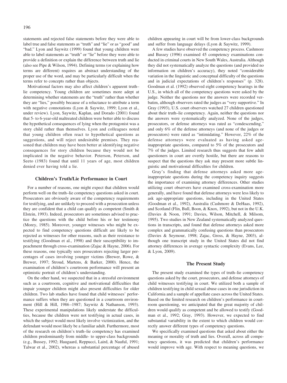statements and rejected false statements before they were able to label true and false statements as "truth" and "lie" or as "good" and "bad." Lyon and Saywitz (1999) found that young children were able to label statements as "truth" or "lie" before they were able to provide a definition or explain the difference between truth and lie (also see Pipe & Wilson, 1994). Defining terms (or explaining how terms are different) requires an abstract understanding of the proper use of the word, and may be particularly difficult when the terms refer to concepts rather than objects.

Motivational factors may also affect children's apparent truth– lie competency. Young children are sometimes more adept at determining whether statements are the "truth" rather than whether they are "lies," possibly because of a reluctance to attribute a term with negative connotations (Lyon & Saywitz, 1999; Lyon et al., under review). Lyon, Saywitz, Kaplan, and Dorado (2001) found that 5- to 6-year-old maltreated children were better able to discuss the hypothetical consequences of lying when the protagonist was a story child rather than themselves. Lyon and colleagues noted that young children often react to hypothetical questions as suggestions, and will reject undesirable premises. They reasoned that children may have been better at identifying negative consequences for story children because they would not be implicated in the negative behavior. Peterson, Peterson, and Seeto (1983) found that until 11 years of age, most children denied ever having told a lie.

#### **Children's Truth/Lie Performance in Court**

For a number of reasons, one might expect that children would perform well on the truth–lie competency questions asked in court. Prosecutors are obviously aware of the competency requirements for testifying, and are unlikely to proceed with a prosecution unless they are confident that a child can qualify as competent (Smith & Elstein, 1993). Indeed, prosecutors are sometimes advised to practice the questions with the child before his or her testimony (Morey, 1985). Moreover, younger witnesses who might be expected to find competency questions difficult are likely to be rejected as witnesses for other reasons, such as their resistance to testifying (Goodman et al., 1998) and their susceptibility to impeachment through cross-examination (Zajac & Hayne, 2006). For these reasons, one typically sees prosecutors rejecting larger percentages of cases involving younger victims (Brewer, Rowe, & Brewer, 1997; Stroud, Martens, & Barker, 2000). Hence, the examination of children's courtroom performance will present an optimistic portrait of children's understanding.

On the other hand, we suspected that in a stressful environment such as a courtroom, cognitive and motivational difficulties that impair younger children might also present difficulties for older children. Two lab studies have found that child witnesses' performance suffers when they are questioned in a courtroom environment (Hill & Hill, 1986 –1987; Saywitz & Nathanson, 1993). These experimental manipulations likely understate the difficulties, because the children were not testifying in actual cases, in which the subject would most likely involve victimization, and the defendant would most likely be a familiar adult. Furthermore, most of the research on children's truth–lie competency has examined children predominantly from middle- to upper-class backgrounds (e.g., Bussey, 1992; Haugaard, Reppucci, Laird, & Nauful, 1991; Talwar et al., 2002), whereas a substantial percentage of abused children appearing in court will be from lower-class backgrounds and suffer from language delays (Lyon & Saywitz, 1999).

A few studies have observed the competency process. Cashmore and Bussey (1996) examined 45 competency examinations conducted in criminal courts in New South Wales, Australia. Although they did not systematically analyze the questions (and provided no information on children's accuracy), they noted "considerable variation in the linguistic and conceptual difficulty of the questions and in judicial expectations of children's responses" (p. 328). Goodman et al. (1992) observed eight competency hearings in the U.S., in which all of the competency questions were asked by the judge. Neither the questions nor the answers were recorded verbatim, although observers rated the judges as "very supportive." In Gray (1993), U.S. court observers watched 27 children questioned about their truth–lie competency. Again, neither the questions nor the answers were systematically analyzed. None of the judges, prosecutors, or defense attorneys was rated as "condescending," and only 6% of the defense attorneys (and none of the judges or prosecutors) were rated as "intimidating." However, 22% of the defense attorneys were evaluated as having asked ageinappropriate questions, compared to 5% of the prosecutors and 7% of the judges. Limited research thus suggests that few adult questioners in court are overtly hostile, but there are reasons to suspect that the questions they ask may present more subtle linguistic and motivational difficulties for children.

Gray's finding that defense attorneys asked more ageinappropriate questions during the competency inquiry suggests the importance of examining attorney differences. Other studies utilizing court observers have examined cross-examination more generally, and have found that defense attorneys were less likely to ask age-appropriate questions, including in the United States (Goodman et al., 1992), Australia (Cashmore & DeHaas, 1992), and Scotland (Flin, Bull, Boon, & Knox, 1992), but not in the U.K. (Davies & Noon, 1991; Davies, Wilson, Mitchell, & Milsom, 1995). Two studies in New Zealand systematically analyzed questions in transcripts, and found that defense attorneys asked more complex and grammatically confusing questions than prosecutors (Davies & Seymour, 1998; Zajac, Gross, & Hayne, 2003), although one transcript study in the United States did not find attorney differences in average syntactic complexity (Evans, Lee, & Lyon, 2009).

#### **The Present Study**

The present study examined the types of truth–lie competency questions asked by the court, prosecutors, and defense attorneys of child witnesses testifying in court. We utilized both a sample of children testifying in child sexual abuse cases in one jurisdiction in California and a sample of appellate cases across the United States. Based on the limited research on children's performance in courtroom questioning, we anticipated that the great majority of children would qualify as competent and be allowed to testify (Goodman et al., 1992; Gray, 1993). However, we expected to find substantial variability in the extent to which children would correctly answer different types of competency questions.

We specifically examined questions that asked about either the meaning or morality of truth and lies. Overall, across all competency questions, it was predicted that children's performance would improve with age. With respect to meaning questions, we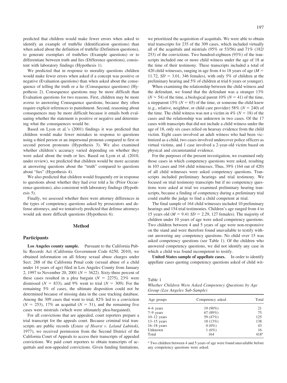predicted that children would make fewer errors when asked to identify an example of truth/lie (Identification questions) than when asked about the definition of truth/lie (Definition questions), to generate exemplars of truth/lies (Example questions) or to differentiate between truth and lies (Difference questions), consistent with laboratory findings (Hypothesis 1).

We predicted that in response to morality questions children would make fewer errors when asked if a concept was positive or negative (Evaluation questions) than when asked about the consequence of telling the truth or a lie (Consequence questions) (Hypothesis 2). Consequence questions may be more difficult than Evaluation questions for two reasons. First, children may be more averse to answering Consequence questions, because they often require explicit references to punishment. Second, reasoning about consequences may be more difficult because it entails both evaluating whether the statement is positive or negative and determining what the consequences would be.

Based on Lyon et al.'s (2001) findings it was predicted that children would make fewer mistakes in response to questions using a third person or an impersonal pronoun compared to first or second person pronouns (Hypothesis 3). We also examined whether children's accuracy varied depending on whether they were asked about the truth or lies. Based on Lyon et al. (2010, under review), we predicted that children would be more accurate at answering questions about the "truth" compared to questions about "lies" (Hypothesis 4).

We also predicted that children would frequently err in response to questions about whether they had ever told a lie (Prior Occurrence questions), also consistent with laboratory findings (Hypothesis 5).

Finally, we assessed whether there were attorney differences in the types of competency questions asked by prosecutors and defense attorneys, and we tentatively predicted that defense attorneys would ask more difficult questions (Hypothesis 6).

#### **Method**

#### **Participants**

**Los Angeles county sample.** Pursuant to the California Public Records Act (California Government Code 6250, 2010), we obtained information on all felony sexual abuse charges under Sect. 288 of the California Penal code (sexual abuse of a child under 14 years of age) filed in Los Angeles County from January 2, 1997 to November 20, 2001 ( $N = 3622$ ). Sixty-three percent of these cases resulted in a plea bargain  $(N = 2275)$ , 23% were dismissed ( $N = 833$ ), and 9% went to trial ( $N = 309$ ). For the remaining 5% of cases, the ultimate disposition could not be determined because of missing data in the case tracking database. Among the 309 cases that went to trial, 82% led to a conviction  $(N = 253)$ , 17% an acquittal  $(N = 51)$ , and the remaining five cases were mistrials (which were ultimately plea-bargained).

For all convictions that are appealed, court reporters prepare a trial transcript for the appeals court. Because criminal trial transcripts are public records (*Estate of Hearst v. Leland Lubinski*, 1977), we received permission from the Second District of the California Court of Appeals to access their transcripts of appealed convictions. We paid court reporters to obtain transcripts of acquittals and non-appealed convictions. Given funding limitations,

we prioritized the acquisition of acquittals. We were able to obtain trial transcripts for 235 of the 309 cases, which included virtually all of the acquittals and mistrials (95% or 53/56) and 71% (182/ 253) of the convictions. Two hundred-eighteen (93%) of the transcripts included one or more child witness under the age of 18 at the time of their testimony. These transcripts included a total of 420 child witnesses, ranging in age from 4 to 18 years of age (*M* 11.72,  $SD = 3.01$ , 346 females), with only 5% of children at the preliminary hearing and 5% of children at trial 6 years or younger).

When examining the relationship between the child witness and the defendant, we found that the defendant was a stranger 13%  $(N = 54)$  of the time, a biological parent 10%  $(N = 41)$  of the time, a stepparent  $15\%$  ( $N = 65$ ) of the time, or someone the child knew (e.g., relative, neighbor, or child care provider)  $58\%$  ( $N = 240$ ) of the time. The child witness was not a victim in  $4\%$  ( $N = 18$ ) of the cases and the relationship was unknown in two cases. Of the 17 cases with transcripts that did not include a child witness under the age of 18, only six cases relied on hearsay evidence from the child victim. Eight cases involved an adult witness who had been victimized as a child, two cases involved undercover police officers as virtual victims, and 1 case involved a 2-year-old victim based on physical and circumstantial evidence.

For the purposes of the present investigation, we examined only those cases in which competency questions were asked, resulting in 103 cases and 164 child witnesses. Thus, 39% (164 out of 420) of all child witnesses were asked competency questions. Transcripts included preliminary hearings and trial testimony. We focused on trial testimony transcripts but if no competency questions were asked at trial we examined preliminary hearing transcripts, because a finding of competency during a preliminary trial could enable the judge to find a child competent at trial.

The final sample of 164 child witnesses included 10 preliminary hearings and 154 trial testimonies. Children's age ranged from 4 to 15 years old ( $M = 9.41$  *SD* = 2.29, 127 females). The majority of children under 10 years of age were asked competency questions. Two children between 4 and 5 years of age were non-responsive on the stand and were therefore found unavailable to testify without answering any competency questions. No child over 15 was asked competency questions (see Table 1). Of the children who answered competency questions, we did not identify any case in which a child was found incompetent to testify.

**United States sample of appellate cases.** In order to identify appellate cases quoting competency questions asked of child wit-

Table 1

*Whether Children Were Asked Competency Questions by Age Group (Los Angeles Sub-Sample)*

| Age groups    | Competency asked | Total            |  |
|---------------|------------------|------------------|--|
| 4–6 years     | 19 (90%)         | 21               |  |
| 7-9 years     | 67(89%)          | 75               |  |
| $10-12$ years | 59 (47%)         | 125              |  |
| $13-15$ years | 18 (13%)         | 138              |  |
| $16-18$ years | $0(0\%)$         | 43               |  |
| Unknown       | 1(6%)            | 16               |  |
| Total         | 164              | 418 <sup>a</sup> |  |
|               |                  |                  |  |

<sup>a</sup> Two children between 4 and 5 years of age were found unavailable before any competency questions were asked.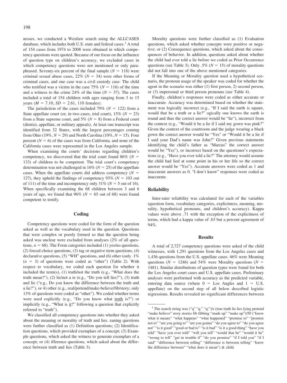nesses, we conducted a Westlaw search using the ALLCASES database, which includes both U.S. state and federal cases.<sup>1</sup> A total of 154 cases from 1974 to 2008 were obtained in which competency questions were quoted. Because of our focus on the influence of question type on children's accuracy, we excluded cases in which competency questions were not mentioned or only paraphrased. Seventy-six percent of the final sample  $(N = 118)$  were criminal sexual abuse cases,  $22\%$  ( $N = 34$ ) were other forms of criminal cases, and one case was a civil custody case. The child who testified was a victim in the case  $75\%$  ( $N = 116$ ) of the time and a witness to the crime  $24\%$  of the time ( $N = 37$ ). The cases included a total of 154 children with ages ranging from 3 to 15 years ( $M = 7.10$ ,  $SD = 2.61$ , 110 females).

The jurisdiction of the cases included 79% ( $N = 122$ ) from a State appellate court (or, in two cases, trial court),  $15\%$  ( $N = 23$ ) from a State supreme court, and 5% ( $N = 8$ ) from a Federal court (district, appellate, or military appeals). At least one transcript was identified from 32 States, with the largest percentages coming from Ohio (19%,  $N = 29$ ) and North Carolina (10%,  $N = 15$ ). Four percent  $(N = 6)$  of the cases was from California, and none of the California cases were represented in the Los Angeles sample.

When examining the courts' decisions regarding children's competency, we discovered that the trial court found  $86\%$  ( $N =$ 133) of children to be competent. The trial court's competency determination was not challenged in  $16\%$  ( $N = 25$ ) of the appellate cases. When the appellate courts did address competency  $(N =$ 127), they upheld the findings of competency 93% ( $N = 103$  out of 111) of the time and incompetency only 31% ( $N = 5$  out of 16). When specifically examining the 68 children between 3 and 6 years of age, we found that  $96\%$  ( $N = 65$  out of 68) were found competent to testify.

#### **Coding**

Competency questions were coded for the form of the question asked as well as the vocabulary used in the question. Questions that were complex or poorly formed so that the question being asked was unclear were excluded from analyses (2% of all questions,  $n = 68$ ). The Form categories included (1) yes/no questions, (2) forced choice questions, (3) tag or negative term questions, (4) declarative questions, (5) "WH" questions, and (6) other (only .1%  $(n = 3)$  of questions were coded as "other") (Table 2). With respect to vocabulary, we coded each question for whether it included the term(s), (1) truth/not the truth (e.g., "What does the truth mean?"), (2) lie/not a ie (e.g., "Do you tell lies?"), (3) truth and lie ("e.g., Do you know the difference between the truth and a lie?"), or 4) other (e.g., real/pretend/make-believe/fib/story; only 13% of questions were coded as "other"). We coded whether terms were used explicitly (e.g., "Do you know what truth is?") or implicitly (e.g., "What is  $\underline{it}$ " following a question that explicitly referred to "truth").

We classified all competency questions into whether they asked about the meaning or morality of truth and lies. eaning questions were further classified as (1) Definition questions; (2) Identification questions, which provided exemplars of a concept; (3) Example questions, which asked the witness to generate exemplars of a concept; or (4) ifference questions, which asked about the difference between truth and lies (Table 3).

Morality questions were further classified as (1) Evaluation questions, which asked whether concepts were positive or negative; or (2) Consequence questions, which asked about the consequences of behavior. In addition, questions asked about whether the child had ever told a lie before we coded as Prior Occurrence questions (see Table 3). Only .5% ( $N = 15$ ) of morality questions did not fall into one of the above mentioned categories.

If the Meaning or Morality question used a hypothetical scenario, the pronoun usage of the speaker was coded for whether the agent in the scenario was either (1) first person, 2) second person, or (3) impersonal or third person pronouns (see Table 4).

Finally, children's responses were coded as either accurate or inaccurate. Accuracy was determined based on whether the statement was logically incorrect (e.g., "If I said the earth is square, would that be a truth or a lie?" ogically one knows the earth is round and thus the correct answer would be "lie"), incorrect from the context (e.g., "Would it be a lie if I said my gown was pink?" Given the context of the courtroom and the judge wearing a black gown the correct answer would be "Yes" or "Would it be a lie if I said your Dad's name was John?" Given previous statements identifying the child's father as "Marcus" the correct answer would be "Yes"), or incorrect based on the questioner's expectations (e.g., "Have you ever told a lie?" The attorney would assume the child had lied at some point in his or her life so the correct answer would be "Yes"). Accurate answers were coded as 1 and inaccurate answers as 0. "I don't know" responses were coded as inaccurate.

#### **Reliability**

Inter-rater reliability was calculated for each of the variables (question form, vocabulary categories, explicitness, meaning, morality, hypothetical pronouns, and children's accuracy). Kappa values were above .71 with the exception of the explicitness of terms, which had a kappa value of .63 but a percent agreement of 94%.

#### **Results**

A total of 2,727 competency questions were asked of the child witnesses, with 1,291 questions from the Los Angeles cases and 1,436 questions from the U.S. appellate cases. 46% were Meaning questions ( $N = 1246$ ) and 54% were Morality questions ( $N =$ 1481). Similar distributions of question types were found for both the Los Angeles court cases and U.S. appellate cases. Preliminary analyses were performed with accuracy as the predicted variable, entering data source (where  $0 =$  Los Angles and  $1 =$  U.S. appellate) on the second step of all below described logistic regressions. Results revealed no significant differences between

<sup>&</sup>lt;sup>1</sup> The search string was ("q" "q." "q:")/s (true truth lie lies lying pretend "make believe" story stories fib fibbing "made up" "make up")/50 ("know what it means" "what happens" "what happened" "promise to" "promise not to" "are you going to" "are you gonna" "do you agree to" "do you agree not" "is it good" "good or bad to" "is it bad" "is it a good thing" "have you told" "have you ever told" "will you tell" "would that be" "would it be" "wrong to tell" "get in trouble if" "do you promise" "if I told you" "if I said" "difference between telling" "difference is between telling" "know the difference between" "what does it mean") & child.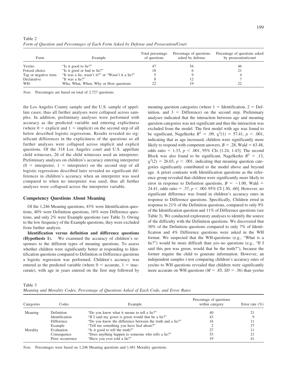| Form                 | Example                                          | Total percentage<br>of questions | Percentage of questions<br>asked by defense | Percentage of questions asked<br>by prosecution/court |
|----------------------|--------------------------------------------------|----------------------------------|---------------------------------------------|-------------------------------------------------------|
| Yes/no               | "Is it good to lie?"                             | 47                               |                                             | 46                                                    |
| Forced choice        | "Is it good or bad to lie?"                      | 18                               |                                             |                                                       |
| Tag or negative term | "It was a lie, wasn't it?" or "Wasn't it a lie?" |                                  |                                             |                                                       |
| Declarative          | "It was a lie?"                                  |                                  |                                             |                                                       |
| WH-                  | Who, What, When, Why or How questions            |                                  | 19                                          |                                                       |

Table 2 *Form of Question and Percentages of Each Form Asked by Defense and Prosecution/Court*

*Note.* Percentages are based on total of 2,727 questions.

the Los Angeles County sample and the U.S. sample of appellate cases; thus all further analyses were collapsed across samples. In addition, preliminary analyses were performed with accuracy as the predicted variable and entering explicitness (where  $0 =$  explicit and  $1 =$  implicit) on the second step of all below described logistic regressions. Results revealed no significant differences in the explicitness of the questions so all further analyses were collapsed across implicit and explicit questions. Of the 318 Los Angeles court and U.S. appellate child witnesses, 26 of the child witnesses used an interpreter. Preliminary analyses on children's accuracy entering interpreter  $(0 =$  interpreter,  $1 =$  interpreter) on the second step of all logistic regressions described later revealed no significant differences in children's accuracy when an interpreter was used compared to when no interpreter was used; thus all further analyses were collapsed across the interpreter variable.

#### **Competency Questions About Meaning**

Of the 1,246 Meaning questions, 43% were Identification questions, 40% were Definition questions, 16% were Difference questions, and only 2% were Example questions (see Table 3). Owing to the low frequency of the Example questions, they were excluded from further analysis.

**Identification versus definition and difference questions (Hypothesis 1).** We examined the accuracy of children's responses to the different types of meaning questions. To assess whether children were significantly better at responding to Identification questions compared to Definition or Difference questions a logistic regression was performed. Children's accuracy was entered as the predicted variable (where  $0 =$  accurate,  $1 =$  inaccurate), with age in years entered on the first step followed by

meaning question categories (where  $1 =$  Identification,  $2 =$  Definition, and  $3 =$  Difference) on the second step. Preliminary analyses indicated that the interaction between age and meaning question categories was not significant and thus the interaction was excluded from the model. The first model with age was found to be significant, Nagelkerke  $R^2 = .09$ ,  $\chi^2(1) = 57.41$ ,  $p < .001$ , indicating that as age increased, children were significantly more likely to respond with competent answers,  $B = .28$ , Wald = 63.48, odds ratio  $= 1.33$ ,  $p < .001$ , 95% CIs [1.24, 1.43]. The second Block was also found to be significant, Nagelkerke  $R^2 = .13$ ,  $\chi^2(2) = 26.03$ ,  $p < .001$ , indicating that meaning question categories significantly contributed to the model above and beyond age. A priori contrasts with Identification questions as the reference group revealed that children were significantly more likely to error in response to Definition questions,  $B = -1.00$ , Wald = 24.41, odds ratio = .37,  $p < .00195\%$  CI [.30, .60]. However, no significant difference was found in children's accuracy rates in response to Difference questions. Specifically, Children erred in response to 21% of the Definition questions, compared to only 9% of the Identification question and 11% of Difference questions (see Table 3). We conducted exploratory analyses to identify the source of the difficulty with the Definition questions. We discovered that 30% of the Definition questions compared to only 7% of Identification and 4% Difference questions were asked in the WH format. We suspected that the WH-questions (e.g., "What is a lie?") would be more difficult than yes–no questions (e.g., "If I said this pen was green, would that be the truth?"), because the former require the child to generate information. However, an independent samples t test comparing children's accuracy rates of yes/no to WH questions revealed that children were significantly more accurate on WH questions ( $M = .85$ ,  $SD = .36$ ) than yes/no

Table 3

| Meaning and Morality Codes, Percentage of Questions Asked of Each Code, and Error Rates |  |  |  |  |  |  |  |  |
|-----------------------------------------------------------------------------------------|--|--|--|--|--|--|--|--|
|-----------------------------------------------------------------------------------------|--|--|--|--|--|--|--|--|

| Categories | Codes             | Example                                                   | Percentage of questions<br>within category | Error rate $(\% )$ |
|------------|-------------------|-----------------------------------------------------------|--------------------------------------------|--------------------|
| Meaning    | <b>Definition</b> | "Do you know what it means to tell a lie?"                | 40                                         |                    |
|            | Identification    | "If I said my gown is green would that be a lie?"         | 43                                         |                    |
|            | Difference        | "Do you know the difference between the truth and a lie?" | 16                                         |                    |
|            | Example           | "Tell me something you have lied about?"                  |                                            |                    |
| Morality   | Evaluation        | "Is it good to tell the truth?"                           |                                            |                    |
|            | Consequence       | "Does anything happen to someone who tells a lie?"        | 53                                         | 21                 |
|            | Prior occurrence  | "Have you ever told a lie?"                               | 19                                         |                    |

*Note.* Percentages were based on 1,246 Meaning questions and 1,481 Morality questions.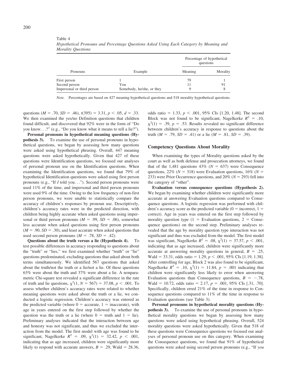|                            |                           | Percentage of hypothetical<br>questions |          |  |
|----------------------------|---------------------------|-----------------------------------------|----------|--|
| Pronouns                   | Example                   | Meaning                                 | Morality |  |
| First person               |                           | 79                                      |          |  |
| Second person              | You                       |                                         | 91       |  |
| Impersonal or third person | Somebody, he/she, or they |                                         | 8        |  |

Table 4 *Hypothetical Pronouns and Percentage Questions Asked Using Each Category by Meaning and Morality Questions*

*Note.* Percentages are based on 427 meaning hypothetical questions and 518 morality hypothetical questions.

questions (*M* = .70, *SD* = .46),  $t(395) = 3.31, p < .05, d = .33$ . We then examined the yes/no Definition questions that children found difficult, and discovered that 92% were in the form of "Do you know. . .?" (e.g., "Do you know what it means to tell a lie?").

**Personal pronouns in hypothetical meaning questions (Hypothesis 3).** To examine the use of personal pronouns in hypothetical questions, we began by assessing how many questions were asked using hypothetical phrasing. Overall, 447 meaning questions were asked hypothetically. Given that 427 of these questions were Identification questions, we focused our analyses of personal pronoun use on the Identification questions. When examining the Identification questions, we found that 79% of hypothetical Identification questions were asked using first person pronouns (e.g., "If *I* told you. . ."). Second person pronouns were used 11% of the time, and impersonal and third person pronouns were used 9% of the time. Owing to the low frequency of non-first person pronouns, we were unable to statistically compare the accuracy of children's responses by pronoun use. Descriptively, children's accuracy rates were in the predicted direction, with children being highly accurate when asked questions using impersonal or third person pronouns  $(M = .99, SD = .06)$ , somewhat less accurate when asked questions using first person pronouns  $(M = .90, SD = .30)$ , and least accurate when asked questions that used second person pronouns  $(M = .78, SD = .42)$ .

**Questions about the truth versus a lie (Hypothesis 4).** To test possible differences in accuracy responding to questions about the "truth" or "lies," we first examined whether "truth" or "lie" questions predominated, excluding questions that asked about both terms simultaneously. We identified 567 questions that asked about the truth/not the truth or a lie/not a lie. Of these questions 63% were about the truth and 37% were about a lie. A nonparametric Chi-square test revealed a significant difference in the rate of truth and lie questions,  $\chi^2(1, N = 567) = 37.08, p < .001$ . To assess whether children's accuracy rates were related to whether meaning questions were asked about the truth or a lie, we conducted a logistic regression. Children's accuracy was entered as the predicted variable (where  $0 =$  accurate,  $1 =$  inaccurate), with age in years entered on the first step followed by whether the question was the truth or a lie (where  $0 = \text{truth}$  and  $1 = \text{lie}$ ). Preliminary analyses indicated that the interaction between age and honesty was not significant, and thus we excluded the interaction from the model. The first model with age was found to be significant, Nagelkerke  $R^2 = .09$ ,  $\chi^2(1) = 32.42$ ,  $p < .001$ , indicating that as age increased, children were significantly more likely to respond with accurate answers,  $B = .29$ , Wald = 28.36,

odds ratio = 1.33,  $p < .001$ , 95% CIs [1.20, 1.48]. The second Block was not found to be significant, Nagelkerke  $R^2 = .10$ ,  $\chi^2(1) = .39$ ,  $p = .53$ . Results revealed no significant difference between children's accuracy in response to questions about the truth  $(M = .79, SD = .41)$  or a lie  $(M = .81, SD = .39)$ .

#### **Competency Questions About Morality**

When examining the types of Morality questions asked by the court as well as both defense and prosecution attorneys, we found that of the 1,481 questions  $43\%$  ( $N = 637$ ) were Consequence questions, 22% ( $N = 318$ ) were Evaluation questions, 16% ( $N =$ 233) were Prior Occurrence questions, and  $20\%$  ( $N = 293$ ) fell into the category of "other".

**Evaluation versus consequence questions (Hypothesis 2).** We began by examining whether children were significantly more accurate at answering Evaluation questions compared to Consequence questions. A logistic regression was performed with children's accuracy score as the predicted variable ( $0 =$  incorrect,  $1 =$ correct). Age in years was entered on the first step followed by morality question type  $(1 =$  Evaluation questions,  $2 =$  Consequence questions) on the second step. Preliminary analyses revealed that the age by morality question type interaction was not significant and thus was excluded from the model. The first model was significant, Nagelkerke  $R^2 = .08$ ,  $\chi^2(1) = 37.57$ ,  $p < .001$ , indicating that as age increased, children were significantly more accurate at answering morality questions in general,  $B = .25$ , Wald = 33.31, odds ratio = 1.29,  $p < .001$ , 95% CIs [1.19, 1.38]. After controlling for age, Block 2 was also found to be significant, Nagelkerke  $R^2 = .10$ ,  $\chi^2(1) = 11.84$ ,  $p = .001$  indicating that children were significantly less likely to error when answering Evaluation questions than Consequence questions,  $B = -.78$ , Wald = 10.72, odds ratio = 2.17,  $p = .001$ , 95% CIs [.31, .70]. Specifically, children erred 21% of the time in response to Consequence questions compared to 11% of the time in response to Evaluation questions (see Table 3).

**Personal pronouns in hypothetical morality questions (Hypothesis 3).** To examine the use of personal pronouns in hypothetical morality questions we began by assessing how many questions were asked using hypothetical phrasing. Overall, 524 morality questions were asked hypothetically. Given that 518 of these questions were Consequence questions we focused our analyses of personal pronoun use on this category. When examining the Consequence questions, we found that 91% of hypothetical questions were asked using second person pronouns (e.g., "If *you*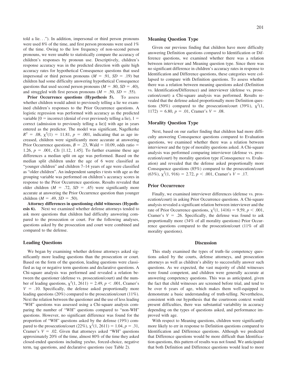told a lie. . ."). In addition, impersonal or third person pronouns were used 8% of the time, and first person pronouns were used 1% of the time. Owing to the low frequency of non-second person pronouns, we were unable to statistically compare the accuracy of children's responses by pronoun use. Descriptively, children's response accuracy was in the predicted direction with quite high accuracy rates for hypothetical Consequence questions that used impersonal or third person pronouns  $(M = .91, SD = .19)$  but children had some difficulty answering hypothetical Consequence questions that used second person pronouns ( $M = .80$ ,  $SD = .40$ ), and struggled with first person pronouns  $(M = .50, SD = .55)$ .

**Prior Occurrence questions (Hypothesis 5).** To assess whether children would admit to previously telling a lie we examined children's responses to the Prior Occurrence questions. A logistic regression was performed with accuracy as the predicted variable  $[0 =$  incorrect (denial of ever previously telling a lie),  $1 =$ correct (admission to previously telling a lie)] with age in years entered as the predictor. The model was significant, Nagelkerke  $R^2 = .08$ ,  $\chi^2(1) = 11.81$ ,  $p = .001$ , indicating that as age increased, children were significantly more accurate at answering Prior Occurrence questions,  $B = .23$ , Wald = 10.09, odds ratio = 1.26,  $p = .001$ , *CIs* [1.12, 1.45]. To further examine these age differences a median split on age was performed. Based on the median split children under the age of 6 were classified as "younger children" and children 7–14 years of age were classified as "older children". An independent samples *t* tests with age as the grouping variable was performed on children's accuracy scores in response to the Prior Occurrence questions. Results revealed that older children  $(M = .72, SD = .45)$  were significantly more accurate at answering the Prior Occurrence question than younger children ( $M = .49$ ,  $SD = .50$ ).

**Attorney differences in questioning child witnesses (Hypothesis 6).** Next we examined whether defense attorneys tended to ask more questions that children had difficulty answering compared to the prosecution or court. For the following analyses, questions asked by the prosecution and court were combined and compared to the defense.

#### **Leading Questions**

We began by examining whether defense attorneys asked significantly more leading questions than the prosecution or court. Based on the form of the question, leading questions were classified as tag or negative term questions and declarative questions. A Chi-square analysis was performed and revealed a relation between the questioner (defense vs. prosecution/court) and the number of leading questions,  $\chi^2(1, 2611) = 2.49$ ,  $p < .001$ , Cramer's  $V = .10$ . Specifically, the defense asked proportionally more leading questions (20%) compared to the prosecution/court (11%). Next the relation between the questioner and the use of less leading "WH" questions was assessed using a Chi-square analysis comparing the number of "WH" questions compared to "non-WH" questions. However, no significant difference was found for the proportion of "WH" questions asked by the defense (19%) compared to the prosecution/court (22%),  $\chi^2(1, 2611) = 1.04$ ,  $p = .31$ , Cramer's  $V = .02$ . Given that attorneys asked "WH" questions approximately 20% of the time, almost 80% of the time they asked closed-ended questions including yes/no, forced-choice, negative term, tag questions, and declarative questions (see Table 2).

#### **Meaning Question Type**

Given our previous finding that children have more difficulty answering Definition questions compared to Identification or Difference questions, we examined whether there was a relation between interviewer and Meaning question type. Since there was no significant difference in children's accuracy rates in response to Identification and Difference questions, these categories were collapsed to compare with Definition questions. To assess whether there was a relation between meaning questions asked (Definition vs. Identification/Difference) and interviewer (defense vs. prosecution/court) a Chi-square analysis was performed. Results revealed that the defense asked proportionally more Definition questions (50%) compared to the prosecution/court (39%),  $\chi^2(1,$  $1172$ ) = 6.80,  $p = .01$ , Cramer's  $V = .08$ .

#### **Morality Question Type**

Next, based on our earlier finding that children had more difficulty answering Consequence questions compared to Evaluation questions, we examined whether there was a relation between interviewer and the type of morality questions asked. A Chi-square analysis was performed comparing interviewer (defense vs. prosecution/court) by morality question type (Consequence vs. Evaluation) and revealed that the defense asked proportionally more Consequence questions (85%) compared to the prosecution/court  $(63\%), \chi^2(1, 916) = 2.72, p < .001$ , Cramer's  $V = .17$ .

#### **Prior Occurrence**

Finally, we examined interviewer differences (defense vs. prosecution/court) in asking Prior Occurrence questions. A Chi-square analysis revealed a significant relation between interviewer and the rate of Prior Occurrence questions,  $\chi^2(1, 1416) = 9.59, p < .001$ , Cramer's  $V = .26$ . Specifically, the defense was found to ask proportionally more (34% of all morality questions) Prior Occurrence questions compared to the prosecution/court (11% of all morality questions).

#### **Discussion**

This study examined the types of truth–lie competency questions asked by the courts, defense attorneys, and prosecution attorneys as well as children's ability to successfully answer such questions. As we expected, the vast majority of child witnesses were found competent, and children were generally accurate at answering competency questions. This was as anticipated, given the fact that child witnesses are screened before trial, and tend to be over 6 years of age, which makes them well-equipped to demonstrate a basic understanding of truth-telling. Nevertheless, consistent with our hypothesis that the courtroom context would present difficulties, there was substantial variability in accuracy depending on the types of questions asked, and performance improved with age.

With respect to Meaning questions, children were significantly more likely to err in response to Definition questions compared to Identification and Difference questions. Although we predicted that Difference questions would be more difficult than Identification questions, this pattern of results was not found. We anticipated that both Definition and Difference questions would lead to more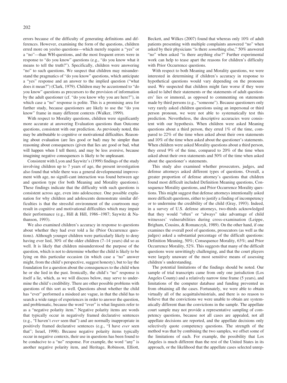errors because of the difficulty of generating definitions and differences. However, examining the form of the questions, children erred more on yes/no questions—which merely require a "yes" or a "no"—than WH-questions, and the most frequent errors were in response to "do you know" questions (e.g., "do you know what it means to tell the truth?"). Specifically, children were answering "no" to such questions. We suspect that children may misunderstand the pragmatics of "do you know" questions, which anticipate a "yes" response and an answer to the implied question ("what does it mean?") (Clark, 1979). Children may be accustomed to "do you know" questions as precursors to the provision of information by the adult questioner (cf. "do you know why you are here?"), in which case a "no" response is polite. This is a promising area for further study, because questioners are likely to use the "do you know" frame in many different contexts (Walker, 1999).

With respect to Morality questions, children were significantly more accurate at answering Evaluation questions than Outcome questions, consistent with our prediction. As previously noted, this may be attributable to cognitive or motivational difficulties. Reasoning about evaluation (are lies good or bad) may be simpler than reasoning about consequences (given that lies are good or bad, what will happen when I tell them), and may be less aversive, because imagining negative consequences is likely to be unpleasant.

Consistent with Lyon and Saywitz's (1999) findings of the study involving children up to 7 years of age, the present investigation also found that while there was a general developmental improvement with age, no signifi-cant interaction was found between age and question type (for both Meaning and Morality questions). These findings indicate that the difficulty with such questions is consistent across age, even into adolescence. One possible explanation for why children and adolescents demonstrate similar difficulties is that the stressful environment of the courtroom may result in cognitive and motivational difficulties which may impair their performance (e.g., Hill & Hill, 1986 –1987; Saywitz & Nathanson, 1993).

We also examined children's accuracy in response to questions about whether they had ever told a lie (Prior Occurrence questions). Although younger children were particularly likely to deny having ever lied, 30% of the older children (7–14 years) did so as well. It is likely that children misunderstood the purpose of the question, which is not to determine whether the child is likely to be lying on this particular occasion (in which case a "no" answer might, from the child's perspective, suggest honesty), but to lay the foundation for a question about the consequences to the child when he or she lied in the past. Ironically, the child's "no" response is itself a lie, which, as we will discuss below, may serve to undermine the child's credibility. There are other possible problems with questions of this sort as well. Questions about whether the child has "ever" performed a misdeed are vague, in that the child has to search a wide range of experiences in order to answer the question, and problematic, because the word "ever" is what linguists refer to as a "negative polarity item." Negative polarity items are words that typically occur in negatively framed declarative sentences (e.g., "I haven't *ever* seen that") and are normally inappropriate in positively framed declarative sentences (e.g., "I have *ever* seen that"; Israel, 1998). Because negative polarity items typically occur in negative contexts, their use in questions has been found to be conducive to a "no" response. For example, the word "any" is another negative polarity item, and Heritage, Robinson, Elliott,

Beckett, and Wilkes (2007) found that whereas only 10% of adult patients presenting with multiple complaints answered "no" when asked by their physicians "is there *some*thing else," 50% answered "no" when asked "is there anything else?" Further experimental work can help to tease apart the reasons for children's difficulty with Prior Occurrence questions.

With respect to both Meaning and Morality questions, we were interested in determining if children's accuracy in response to hypothetical questions would vary depending on the pronouns used. We suspected that children might fare worse if they were asked to label their statements or the statements of adult questioners' lies or immoral, as opposed to commenting on statements made by third persons (e.g., "someone"). Because questioners only very rarely asked children questions using an impersonal or third person pronoun, we were not able to systematically test this prediction. Nevertheless, the descriptive accuracies were consistent with our hypothesis. When children were asked Meaning questions about a third person, they erred 1% of the time, compared to 22% of the time when asked about their own statements and 10% of the time when asked about the questioner's statements. When children were asked Morality questions about a third person, they erred 9% of the time, compared to 20% of the time when asked about their own statements and 50% of the time when asked about the questioner's statements.

This study also examined whether prosecutors, judges, and defense attorneys asked different types of questions. Overall, a greater proportion of defense attorney's questions that children found most difficult included Definition Meaning questions, Consequence Morality questions, and Prior Occurrence Morality questions. This might suggest that defense attorneys intentionally asked more difficult questions, either to justify a finding of incompetency or to undermine the credibility of the child (Gray, 1993). Indeed, in a survey of U.S. defense attorneys, two-thirds acknowledged that they would "often" or "always" take advantage of child witnesses' vulnerabilities during cross-examination (Leippe, Brigham, Cousins, & Romanczyk, 1989). On the other hand, if one examines the overall pool of questions, prosecutors (as well as the judges) asked a substantial percentage of the difficult questions: Definition Meaning, 50%; Consequence Morality, 63%; and Prior Occurrence Morality, 52%. This suggests that many of the difficult questions were unwittingly challenging, and that the court players were largely unaware of the most sensitive means of assessing children's understanding.

The potential limitations of the findings should be noted. Our sample of trial transcripts came from only one jurisdiction (Los Angeles County) and a relatively narrow time frame (5 years), and limitations of the computer database and funding prevented us from obtaining all the cases. Fortunately, we were able to obtain virtually all of the acquittals/mistrials, and there is no reason to believe that the convictions we were unable to obtain are systematically different than the convictions in the sample. The appellate court sample may not provide a representative sampling of competency questions, because not all cases are appealed, not all appellate decisions are reported, and the appellate decisions only selectively quote competency questions. The strength of the method was that by combining the two samples, we offset some of the limitations of each. For example, the possibility that Los Angeles is much different than the rest of the United States in its approach, or the likelihood that the appellate cases selected unrep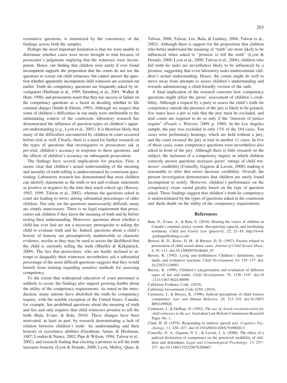resentative questions, is minimized by the consistency of the findings across both the samples.

Perhaps the most important limitation is that we were unable to determine whether cases were never brought to trial because of prosecutor's judgments implying that the witnesses were incompetent. Hence, our finding that children were rarely if ever found incompetent supports the proposition that the courts do not use the questions to screen out child witnesses, but cannot answer the question whether apparently incompetent child witnesses are screened out earlier. Truth–lie competency questions are frequently asked by investigators (Huffman et al., 1999; Sternberg et al., 2001; Walker & Hunt, 1998), and prosecutors assert that they use success or failure on the competency questions as a factor in deciding whether to file criminal charges (Smith & Elstein, 1993). Although we suspect that some of children's difficulties in our study were attributable to the intimidating context of the courtroom, laboratory research has demonstrated the influence of question-types on children's apparent understanding (e.g., Lyon et al., 2001). It is therefore likely that many of the difficulties encountered by children in court occurred before trial as well. Clearly, there is a need for further research on the types of questions that investigators or prosecutors ask at pre-trial, children's accuracy in response to these questions, and the effects of children's accuracy on subsequent prosecution.

The findings have several implications for practice. First, it seems clear that children's actual understanding of the meaning and morality of truth-telling is underestimated by courtroom questioning. Laboratory research has demonstrated that most children can identify statements as the truth or not and evaluate statements as positive or negative by the time they reach school age (Bussey, 1992, 1999; Talwar et al., 2002), whereas the questions asked in court are leading to errors among substantial percentages of older children. Not only are the questions unnecessarily difficult; many are simply unnecessary. There is no legal requirement that prosecutors ask children if they know the meaning of truth and lie before testing their understanding. Moreover, questions about whether a child has ever lied are not a necessary prerequisite to asking the child to evaluate truth and lie. Indeed, questions about a child's history of honesty are presumptively inadmissible as character evidence, insofar as they may be used to assess the likelihood that the child is currently telling the truth (Mueller & Kirkpatrick, 2009). The fact that prosecutors, who are hardly inclined to attempt to disqualify their witnesses, nevertheless ask a substantial percentage of the more difficult questions suggests that they would benefit from training regarding sensitive methods for assessing competency.

To the extent that widespread education of court personnel is unlikely to occur, the findings also support growing doubts about the utility of the competency requirements. As noted in the introduction, many nations have abolished the truth–lie competency inquiry, with the notable exception of the United States. Canada, for example, has prohibited questions about the meaning of truth and lies and only requires that child witnesses promise to tell the truth (Bala, Evans, & Bala, 2010). These changes have been motivated, at least in part, by research demonstrating a lack of relation between children's truth– lie understanding and their honesty or eyewitness abilities (Goodman, Aman, & Hirshman, 1987; London & Nunez, 2002; Pipe & Wilson, 1994; Talwar et al., 2002), and research finding that eliciting a promise to tell the truth increases honesty (Lyon & Dorado, 2008; Lyon, Malloy, Quas, & Talwar, 2008; Talwar, Lee, Bala, & Lindsay, 2004; Talwar et al., 2002). Although there is support for the proposition that children who better understand the meaning of "truth" are more likely to be influenced when asked to "promise to tell the truth" (Lyon  $\&$ Dorado, 2008; Lyon et al., 2008; Talwar et al., 2004), children who fail truth–lie tasks are nevertheless likely to be influenced by a promise, suggesting that even laboratory tasks underestimate children's actual understanding. Hence, the courts might do well to move away from attempts to assess children's understanding and towards administering a child-friendly version of the oath.

A final implication of the research concerns how competency questions might affect the jurors' assessment of children's credibility. Although a request by a party to assess the child's truth–lie competency outside the presence of the jury is likely to be granted, few states have a per se rule that the jury must be excluded, and trial courts are required to do so only if the "interests of justice require" (*People v. Wittrein,* 2009, p. 1080). In the Los Angeles sample, the jury was excluded in only 13% of the 164 cases. Ten cases were preliminary hearings, which are held without a jury, and the court excused the jury at trial in another 11 cases. In five of those cases, some competency questions were nevertheless also asked in front of the jury. Although there is little research on the subject, the inclusion of a competency inquiry in which children correctly answer questions increases jurors' ratings of child witnesses' credibility (Connolly, Gagnon, & Lavoie, 2008), making it reasonable to infer that errors decrease credibility. Overall, the present investigation demonstrates that children are rarely found incompetent to testify. However, children's performance on the competency exam varied greatly based on the type of question asked. These findings suggest that children's truth-lie competency is underestimated by the types of questions asked in the courtroom and sheds doubt on the utility of the competency requirements.

#### **References**

- Bala, N., Evans, A., & Bala, E. (2010). Hearing the voices of children in Canada's criminal justice system: Recognizing capacity and facilitating testimony. *Child and Family Law Quarterly, 22, 21-45.* http://www .jordanpublishing.co.uk/
- Brewer, K. D., Rowe, D. M., & Brewer, D. D. (1997). Factors related to prosecution of child sexual abuse cases. *Journal of Child Sexual Abuse, 6*, 91–111. [doi:10.1300/J070v06n01\\_07](http://dx.doi.org/10.1300/J070v06n01_07)
- Bussey, K. (1992). Lying and truthfulness: Children's definitions, standards, and evaluative reactions. *Child Development*, 63, 129-137. [doi:](http://dx.doi.org/10.2307/1130907.) [10.2307/1130907.](http://dx.doi.org/10.2307/1130907.)
- Bussey, K. (1999). Children's categorization and evaluation of different types of lies and truths. *Child Development, 70*, 1338 –1347. [doi:10](http://dx.doi.org/10.1111/1467-8624.00098) [.1111/1467-8624.00098](http://dx.doi.org/10.1111/1467-8624.00098)
- California Evidence Code. (2010).
- California Government Code 6250. (2010).
- Cashmore, J., & Bussey, K. (1996). Judicial perceptions of child witness competence. *Law and Human Behavior, 20*, 313–334. [doi:10.1007/](http://dx.doi.org/10.1007/BF01499026) [BF01499026](http://dx.doi.org/10.1007/BF01499026)
- Cashmore, J., & DeHaas, N. (1992). *The use of closed-circuittelevision for child witnesses in the act*. Australian Law Reform Commission Research Paper No. 1.
- Clark, H. H. (1979). Responding to indirect speech acts. *Cognitive Psychology, 11*, 430 – 477. [doi:10.1016/0010-0285\(79\)90020-3](http://dx.doi.org/10.1016/0010-0285%2879%2990020-3)
- Connolly, D. A., Gagnon, N. C., & Lavoie, J. A. (2008). The effect of a judicial declaration of competence on the perceived credibility of children and defendants. *Legal and Criminological Psychology, 13*, 257– 277. [doi:10.1348/135532507X206867](http://dx.doi.org/10.1348/135532507X206867)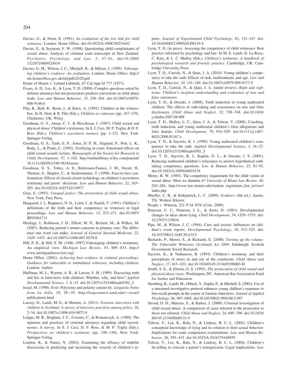- Davies, G., & Noon, E. (1991). *An evaluation of the live link for child witnesses*. London: Home Office. [doi:10.1023/A:1008740231642](http://dx.doi.org/10.1023/A:1008740231642)
- Davies, E., & Seymour, F. W. (1998). Questioning child complainants of sexual abuse: Analysis of criminal court transcripts in New Zealand. Psychiatry, Psychology, and Law, 5, 47-61. [doi:10.1080/](http://dx.doi.org/10.1080/13218719809524919) [13218719809524919](http://dx.doi.org/10.1080/13218719809524919)
- Davies, G. M., Wilson, J. C., Mitchell, R., & Milson, J. (1995). *Videotaping children's evidence: An evaluation*. London: Home Office. [http://](http://rds.homeoffice.gov.uk/rds/pdfs2/r20.pdf) [rds.homeoffice.gov.uk/rds/pdfs2/r20.pdf](http://rds.homeoffice.gov.uk/rds/pdfs2/r20.pdf)
- Estate of Hearst v. Leland Lubinski, 67 Cal.App.3d 777 (1977).
- Evans, A. D., Lee, K., & Lyon, T. D. (2009). Complex questions asked by defense attorneys but not prosecutors predicts convictions in child abuse trials. *Law and Human Behavior, 33*, 258 –264. [doi:10.1007/s10979-](http://dx.doi.org/10.1007/s10979-008-9148-6) [008-9148-6](http://dx.doi.org/10.1007/s10979-008-9148-6)
- Flin, R., Bull, R., Boon, J., & Knox, A. (1992). Children in the witnessbox. In H. Dent & R. Flin (Eds.), *Children as witnesses* (pp. 167–179). Chichester, UK: Wiley.
- Goodman, G. S., Aman, C. J., & Hirschman, J. (1987). Child sexual and physical abuse: Children's testimony. In S. J. Ceci, M. P. Toglia, & D. F. Ross (Eds.), *Children's eyewitness memory* (pp. 1–23). New York: Springer-Verlag.
- Goodman, G. S., Taub, E. P., Jones, D. P. H., England, P., Port, L. K., Rudy, L., & Prado, L. (1992). Testifying in court: Emotional effects on child sexual assault victims. *Monographs of the Society for Research in Child Development, 57*, 1–162. [http://onlinelibrary.wiley.com/journal/](http://onlinelibrary.wiley.com/journal/10.1111/(ISSN)1540-5834/issues) [10.1111/\(ISSN\)1540-5834/issues](http://onlinelibrary.wiley.com/journal/10.1111/(ISSN)1540-5834/issues)
- Goodman, G. S., Tobey, A. E., Batternam-Faunce, J. M., Orcutt, H., Thomas, S., Shapiro, C., & Sachsenmaier, T. (1998). Face-to-face confrontation: Effects of closed-circuit technology on children's eyewitness testimony and jurors' decisions. *Law and Human Behavior, 22*, 165– 203. [doi:10.1023/A:1025742119977](http://dx.doi.org/10.1023/A:1025742119977)
- Gray, E. (1993). *Unequal justice: The prosecution of child sexual abuse*. New York: Free Press.
- Haugaard, J. J., Reppucci, N. D., Laird, J., & Nauful, T. (1991). Children's definitions of the truth and their competency as witnesses in legal proceedings. *Law and Human Behavior, 15*, 253–271. [doi:10.1007/](http://dx.doi.org/10.1007/BF01061712) [BF01061712](http://dx.doi.org/10.1007/BF01061712)
- Heritage, J., Robinson, J. D., Elliott, M. N., Beckett, M., & Wilkes, M. (2007). Reducing patient's unmet concerns in primary care: The difference one word can make. *Journal of General Internal Medicine, 22*, 1429 –1433. [doi:10.1007/s11606-007-0279-0](http://dx.doi.org/10.1007/s11606-007-0279-0)
- Hill, P. E., & Hill, S. M. (1986–1987). Videotaping children's testimony: An empirical view. *Michigan Law Review, 85*, 809 – 833. [http://](http://www.michiganlawreview.org/) [www.michiganlawreview.org/](http://www.michiganlawreview.org/)
- Home Office. (2001). *Achieving best evidence in criminal proceedings: Guidance for vulnerable or intimidated witnesses, including children*. London: Author.
- Huffman, M. L., Warren, A. R., & Larson, S. M. (1999). Discussing truth and lies in interviews with children: Whether, why, and how? *Applied Developmental Science, 1*, 6 –15. [doi:10.1207/s1532480xads0301\\_2](http://dx.doi.org/10.1207/s1532480xads0301_2)
- Israel, M. (1998). Ever: Polysemy and polarity sensitivity. *Linguistic Notes from La Jolla, 19, 29-45. [http://terpconnect.umd.edu/](http://terpconnect.umd.edu/∼israel/publications.html)~israel/* [publications.html](http://terpconnect.umd.edu/∼israel/publications.html)
- Larooy, D., Lamb, M. E., & Memon, A. (2011). *Forensic interviews with children in Scotland: A survey of interview practices among police, 26*, 2–34. [doi:10.1007/s11896-010-9072-9](http://dx.doi.org/10.1007/s11896-010-9072-9)
- Leippe, M. R., Brigham, J. C., Cousins, C., & Romanczyk, A. (1989). The opinions and practices of criminal attorneys regarding child eyewitnesses: A survey. In S. J. Ceci, D. F. Ross, & M. P. Toglia (Eds.), *Perspectives on children's testimony* (pp. 100 –130). New York: Springer-Verlag.
- London, K., & Nunez, N. (2002). Examining the efficacy of truth/lie discussions in predicting and increasing the veracity of children's re-

ports. *Journal of Experimental Child Psychology, 83*, 131–147. [doi:](http://dx.doi.org/10.1016/S0022-0965%2802%2900119-4) [10.1016/S0022-0965\(02\)00119-4](http://dx.doi.org/10.1016/S0022-0965%2802%2900119-4)

- Lyon, T. D. (in press). Assessing the competency of child witnesses: Best practice informed by psychology and law. In M. E. Lamb, D. La Rooy, C. Katz, & L. C. Malloy (Eds.), *Children's testimony: A handbook of psychological research and forensic practice*. Cambridge, UK: Cambridge University Press.
- Lyon, T. D., Carrick, N., & Quas, J. A. (2010). Young children's competency to take the oath: Effects of task, maltreatment, and age. *Law and Human Behavior, 34*, 141–149. [doi:10.1007/s10979-009-9177-9](http://dx.doi.org/10.1007/s10979-009-9177-9)
- Lyon, T. D., Carrick, N., & Quas, J. A. (under review). *Right and righteous: Children's incipient understanding and evaluation of true and false statements.*
- Lyon, T. D., & Dorado, J. (2008). Truth induction in young maltreated children: The effects of oath-taking and reassurance on true and false disclosures. *Child Abuse and Neglect, 32*, 738 –748. [doi:10.1016/](http://dx.doi.org/10.1016/j.chiabu.2007.08.008) [j.chiabu.2007.08.008](http://dx.doi.org/10.1016/j.chiabu.2007.08.008)
- Lyon, T. D., Malloy, L. C., Quas, J. A., & Talwar, V. (2008). Coaching, truth induction, and young maltreated children's false allegations and false denials. *Child Development, 79*, 914 –929. [doi:10.1111/j.1467-](http://dx.doi.org/10.1111/j.1467-8624.2008.01167.x) [8624.2008.01167.x](http://dx.doi.org/10.1111/j.1467-8624.2008.01167.x)
- Lyon, T. D., & Saywitz, K. J. (1999). Young maltreated children's competence to take the oath. *Applied Developmental Science*, 3, 16-27. [doi:10.1207/s1532480xads0301\\_3](http://dx.doi.org/10.1207/s1532480xads0301_3)
- Lyon, T. D., Saywitz, K. J., Kaplan, D. L., & Dorado, J. S. (2001). Reducing maltreated children's reluctance to answer hypothetical oathtaking competency questions. *Law & Human Behavior, 25*, 81–92. [doi:10.1023/A:1005644010134](http://dx.doi.org/10.1023/A:1005644010134)
- Morey, R. W. (1985). The competency requirement for the child victim of sexual abuse: Must we abandon it? *University of Miami Law Review, 40*, 245–284.<http://www.law.miami.edu/student> org/miami\_law\_review/ index.php
- Mueller, C. B., & Kirkpatrick, L. C. (2009). *Evidence* (4th ed.). Austin, TX: Wolters Kluwer.
- People v. Wittrein, 221 P.3d 1076 (Colo. 2009).
- Peterson, C. C., Peterson, J. L., & Seeto, D. (1983). Developmental changes in ideas about lying. *Child Development, 54*, 1529 –1535. [doi:](http://dx.doi.org/) 10.2307/1129816
- Pipe, M., & Wilson, J. C. (1994). Cues and secrets: Influences on children's event reports. *Developmental Psychology, 30*, 515–525. [doi:](http://dx.doi.org/10.1037/0012-1649.30.4.515) [10.1037/0012-1649.30.4.515](http://dx.doi.org/10.1037/0012-1649.30.4.515)
- Richards, P., Morris, S., & Richards, E. (2008). *Turning up the volume: The Vulnerable Witnesses (Scotland) Act 2004*. Edinburgh: Scottish Government Social Research.
- Saywitz, K., & Nathanson, R. (1993). Children's testimony and their perceptions of stress in and out of the courtroom. *Child Abuse and Neglect, 17*, 613– 622. [doi:10.1016/0145-2134\(93\)90083-H](http://dx.doi.org/10.1016/0145-2134%2893%2990083-H)
- Smith, S. E., & Elstein, G. S. (1993). *The prosecution of child sexual and physical abuse cases*. Washington, DC: American Bar Association Fund for Justice and Education.
- Sternberg, K., Lamb, M., Orbach, Y., Esplin, P., & Mitchell, S. (2001). Use of a structured investigative protocol enhances young children's responses to free-recall prompts in the course of forensic interviews. *Journal of Applied Psychology, 86*, 997–1005. [doi:10.1037/0021-9010.86.5.997](http://dx.doi.org/10.1037/0021-9010.86.5.997)
- Stroud, D. D., Martens, S., & Barker, J. (2000). Criminal investigation of child sexual abuse: A comparison of cases referred to the prosecutor to those not referred. *Child Abuse and Neglect, 24*, 689 –700. [doi:10.1016/](http://dx.doi.org/10.1016/S0145-2134%2800%2900131-9) [S0145-2134\(00\)00131-9](http://dx.doi.org/10.1016/S0145-2134%2800%2900131-9)
- Talwar, V., Lee, K., Bala, N., & Lindsay, R. C. L. (2002). Children's conceptual knowledge of lying and its relation to their actual behavior: Implications for court competence examinations. *Law and Human Behavior, 26*, 395– 415. [doi:10.1023/A:1016379104959](http://dx.doi.org/10.1023/A:1016379104959)
- Talwar, V., Lee, K., Bala, N., & Lindsay, R. C. L. (2004). Children's lie-telling to conceal a parent's transgression: Legal implications. *Law*